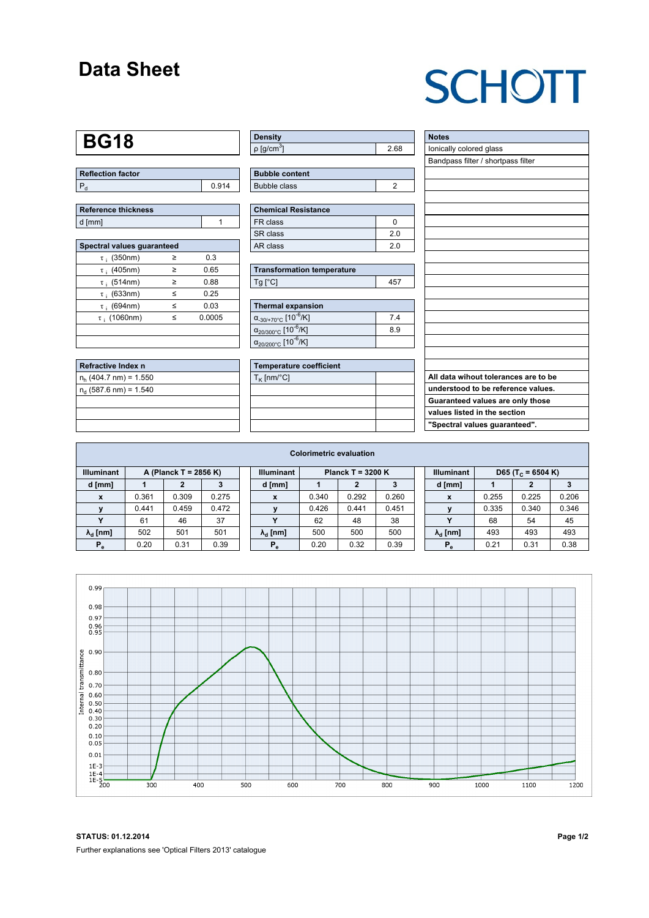### **Data Sheet**

# **SCHOTT**

### **BG18**

| Reflection factor |     |
|-------------------|-----|
|                   | 914 |

| Reference thickness |  |
|---------------------|--|
| d [mm]              |  |

| Spectral values quaranteed |   |        |  |  |  |  |  |  |  |
|----------------------------|---|--------|--|--|--|--|--|--|--|
| $\tau$ ; (350nm)           | ≥ | 0.3    |  |  |  |  |  |  |  |
| $\tau$ ; (405nm)           | ≥ | 0.65   |  |  |  |  |  |  |  |
| $\tau$ ; (514nm)           | > | 0.88   |  |  |  |  |  |  |  |
| $\tau$ ; (633nm)           | < | 0.25   |  |  |  |  |  |  |  |
| $\tau$ (694nm)             | < | 0.03   |  |  |  |  |  |  |  |
| $\tau$ : (1060nm)          | < | 0.0005 |  |  |  |  |  |  |  |
|                            |   |        |  |  |  |  |  |  |  |
|                            |   |        |  |  |  |  |  |  |  |

| <b>Refractive Index n</b> |  |
|---------------------------|--|
| $n_h$ (404.7 nm) = 1.550  |  |
| $n_a$ (587.6 nm) = 1.540  |  |
|                           |  |
|                           |  |
|                           |  |

| <b>Density</b>              |      |
|-----------------------------|------|
| $\rho$ [g/cm <sup>3</sup> ] | 2.68 |

| <b>Bubble content</b> |  |
|-----------------------|--|
| Bubble class          |  |

| Chemical Resistance |     |  |  |  |  |  |
|---------------------|-----|--|--|--|--|--|
| FR class            |     |  |  |  |  |  |
| SR class            | 20  |  |  |  |  |  |
| l AR class          | 2 በ |  |  |  |  |  |

| <b>Transformation temperature</b> |     |  |  |  |  |
|-----------------------------------|-----|--|--|--|--|
| $Ta$ $C1$                         | 457 |  |  |  |  |

| Thermal expansion                                 |     |  |  |  |  |  |  |
|---------------------------------------------------|-----|--|--|--|--|--|--|
| $\alpha_{.30/+70\degree}$ C [10 <sup>-6</sup> /K] | 74  |  |  |  |  |  |  |
| $\alpha_{20/300^{\circ}C}$ [10 $^{-6}$ /K]        | 8.9 |  |  |  |  |  |  |
| $\alpha_{20/200^{\circ}C}$ [10 <sup>-6</sup> /K]  |     |  |  |  |  |  |  |

| Temperature coefficient |  |
|-------------------------|--|
| $T_{\rm K}$ [nm/°C]     |  |
|                         |  |
|                         |  |
|                         |  |
|                         |  |

| <b>Notes</b>                         |
|--------------------------------------|
| lonically colored glass              |
| Bandpass filter / shortpass filter   |
|                                      |
|                                      |
|                                      |
|                                      |
|                                      |
|                                      |
|                                      |
|                                      |
|                                      |
|                                      |
|                                      |
|                                      |
|                                      |
|                                      |
|                                      |
|                                      |
|                                      |
| All data wihout tolerances are to be |
| understood to be reference values.   |
| Guaranteed values are only those     |
| values listed in the section         |
| "Spectral values guaranteed".        |

| <b>Colorimetric evaluation</b> |                       |       |       |  |                        |                     |       |       |  |                        |       |                               |       |
|--------------------------------|-----------------------|-------|-------|--|------------------------|---------------------|-------|-------|--|------------------------|-------|-------------------------------|-------|
| <b>Illuminant</b>              | A (Planck T = 2856 K) |       |       |  | <b>Illuminant</b>      | Planck T = $3200 K$ |       |       |  | <b>Illuminant</b>      |       | D65 (T <sub>c</sub> = 6504 K) |       |
| d [mm]                         |                       | 2     |       |  | d [mm]                 |                     |       |       |  | d [mm]                 |       | 2                             |       |
| X                              | 0.361                 | 0.309 | 0.275 |  | x                      | 0.340               | 0.292 | 0.260 |  | X                      | 0.255 | 0.225                         | 0.206 |
|                                | 0.441                 | 0.459 | 0.472 |  |                        | 0.426               | 0.441 | 0.451 |  |                        | 0.335 | 0.340                         | 0.346 |
|                                | 61                    | 46    | 37    |  | $\mathbf{v}$           | 62                  | 48    | 38    |  |                        | 68    | 54                            | 45    |
| $\lambda_{\rm d}$ [nm]         | 502                   | 501   | 501   |  | $\lambda_{\rm d}$ [nm] | 500                 | 500   | 500   |  | $\lambda_{\rm d}$ [nm] | 493   | 493                           | 493   |
| $P_e$                          | 0.20                  | 0.31  | 0.39  |  | $P_e$                  | 0.20                | 0.32  | 0.39  |  | $P_e$                  | 0.21  | 0.31                          | 0.38  |
|                                |                       |       |       |  |                        |                     |       |       |  |                        |       |                               |       |



**STATUS: 01.12.2014 Page 1/2** Further explanations see 'Optical Filters 2013' catalogue